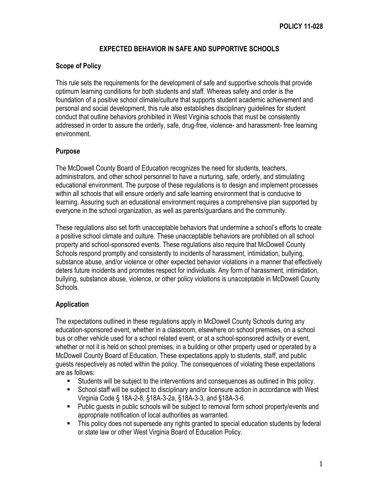## **EXPECTED BEHAVIOR IN SAFE AND SUPPORTIVE SCHOOLS**

#### **Scope of Policy**

This rule sets the requirements for the development of safe and supportive schools that provide optimum learning conditions for both students and staff. Whereas safety and order is the foundation of a positive school climate/culture that supports student academic achievement and personal and social development, this rule also establishes disciplinary guidelines for student conduct that outline behaviors prohibited in West Virginia schools that must be consistently addressed in order to assure the orderly, safe, drug-free, violence- and harassment- free learning environment.

#### **Purpose**

The McDowell County Board of Education recognizes the need for students, teachers, administrators, and other school personnel to have a nurturing, safe, orderly, and stimulating educational environment. The purpose of these regulations is to design and implement processes within all schools that will ensure orderly and safe learning environment that is conducive to learning. Assuring such an educational environment requires a comprehensive plan supported by everyone in the school organization, as well as parents/guardians and the community.

These regulations also set forth unacceptable behaviors that undermine a school's efforts to create a positive school climate and culture. These unacceptable behaviors are prohibited on all school property and school-sponsored events. These regulations also require that McDowell County Schools respond promptly and consistently to incidents of harassment, intimidation, bullying, substance abuse, and/or violence or other expected behavior violations in a manner that effectively deters future incidents and promotes respect for individuals. Any form of harassment, intimidation, bullying, substance abuse, violence, or other policy violations is unacceptable in McDowell County Schools.

# **Application**

The expectations outlined in these regulations apply in McDowell County Schools during any education-sponsored event, whether in a classroom, elsewhere on school premises, on a school bus or other vehicle used for a school related event, or at a school-sponsored activity or event, whether or not it is held on school premises, in a building or other property used or operated by a McDowell County Board of Education. These expectations apply to students, staff, and public guests respectively as noted within the policy. The consequences of violating these expectations are as follows:

- Students will be subject to the interventions and consequences as outlined in this policy.
- School staff will be subject to disciplinary and/or licensure action in accordance with West Virginia Code § 18A-2-8, §18A-3-2a, §18A-3-3, and §18A-3-6.
- Public guests in public schools will be subject to removal form school property/events and appropriate notification of local authorities as warranted.
- This policy does not supersede any rights granted to special education students by federal or state law or other West Virginia Board of Education Policy.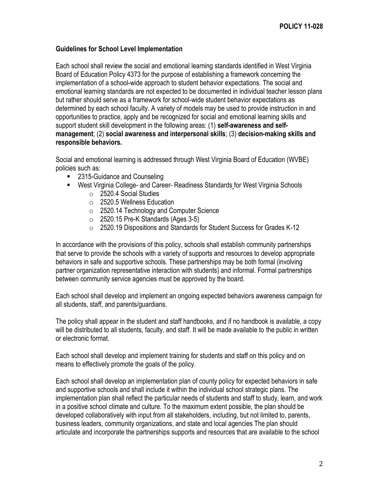#### **Guidelines for School Level Implementation**

Each school shall review the social and emotional learning standards identified in West Virginia Board of Education Policy 4373 for the purpose of establishing a framework concerning the implementation of a school-wide approach to student behavior expectations. The social and emotional learning standards are not expected to be documented in individual teacher lesson plans but rather should serve as a framework for school-wide student behavior expectations as determined by each school faculty. A variety of models may be used to provide instruction in and opportunities to practice, apply and be recognized for social and emotional learning skills and support student skill development in the following areas: (1) **self-awareness and selfmanagement**; (2) **social awareness and interpersonal skills**; (3) **decision-making skills and responsible behaviors.**

Social and emotional learning is addressed through West Virginia Board of Education (WVBE) policies such as:

- 2315-Guidance and Counseling
- West Virginia College- and Career- Readiness Standards for West Virginia Schools
	- o 2520.4 Social Studies
	- o 2520.5 Wellness Education
	- o 2520.14 Technology and Computer Science
	- $\circ$  2520.15 Pre-K Standards (Ages 3-5)
	- o 2520.19 Dispositions and Standards for Student Success for Grades K-12

In accordance with the provisions of this policy, schools shall establish community partnerships that serve to provide the schools with a variety of supports and resources to develop appropriate behaviors in safe and supportive schools. These partnerships may be both formal (involving partner organization representative interaction with students) and informal. Formal partnerships between community service agencies must be approved by the board.

Each school shall develop and implement an ongoing expected behaviors awareness campaign for all students, staff, and parents/guardians.

The policy shall appear in the student and staff handbooks, and if no handbook is available, a copy will be distributed to all students, faculty, and staff. It will be made available to the public in written or electronic format.

Each school shall develop and implement training for students and staff on this policy and on means to effectively promote the goals of the policy.

Each school shall develop an implementation plan of county policy for expected behaviors in safe and supportive schools and shall include it within the individual school strategic plans. The implementation plan shall reflect the particular needs of students and staff to study, learn, and work in a positive school climate and culture. To the maximum extent possible, the plan should be developed collaboratively with input from all stakeholders, including, but not limited to, parents, business leaders, community organizations, and state and local agencies The plan should articulate and incorporate the partnerships supports and resources that are available to the school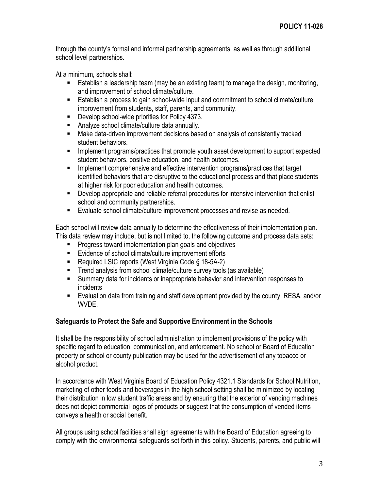through the county's formal and informal partnership agreements, as well as through additional school level partnerships.

At a minimum, schools shall:

- Establish a leadership team (may be an existing team) to manage the design, monitoring, and improvement of school climate/culture.
- Establish a process to gain school-wide input and commitment to school climate/culture improvement from students, staff, parents, and community.
- Develop school-wide priorities for Policy 4373.
- Analyze school climate/culture data annually.
- Make data-driven improvement decisions based on analysis of consistently tracked student behaviors.
- **IMPLEM** Implement programs/practices that promote youth asset development to support expected student behaviors, positive education, and health outcomes.
- Implement comprehensive and effective intervention programs/practices that target identified behaviors that are disruptive to the educational process and that place students at higher risk for poor education and health outcomes.
- **•** Develop appropriate and reliable referral procedures for intensive intervention that enlist school and community partnerships.
- **Evaluate school climate/culture improvement processes and revise as needed.**

Each school will review data annually to determine the effectiveness of their implementation plan. This data review may include, but is not limited to, the following outcome and process data sets:

- **Progress toward implementation plan goals and objectives**
- Evidence of school climate/culture improvement efforts
- Required LSIC reports (West Virginia Code § 18-5A-2)
- **Trend analysis from school climate/culture survey tools (as available)**
- **Summary data for incidents or inappropriate behavior and intervention responses to** incidents
- Evaluation data from training and staff development provided by the county, RESA, and/or WVDE.

# **Safeguards to Protect the Safe and Supportive Environment in the Schools**

It shall be the responsibility of school administration to implement provisions of the policy with specific regard to education, communication, and enforcement. No school or Board of Education property or school or county publication may be used for the advertisement of any tobacco or alcohol product.

In accordance with West Virginia Board of Education Policy 4321.1 Standards for School Nutrition, marketing of other foods and beverages in the high school setting shall be minimized by locating their distribution in low student traffic areas and by ensuring that the exterior of vending machines does not depict commercial logos of products or suggest that the consumption of vended items conveys a health or social benefit.

All groups using school facilities shall sign agreements with the Board of Education agreeing to comply with the environmental safeguards set forth in this policy. Students, parents, and public will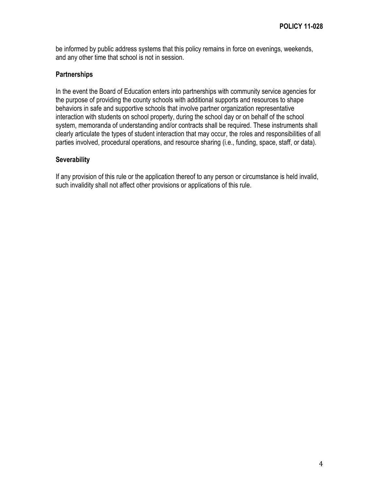be informed by public address systems that this policy remains in force on evenings, weekends, and any other time that school is not in session.

#### **Partnerships**

In the event the Board of Education enters into partnerships with community service agencies for the purpose of providing the county schools with additional supports and resources to shape behaviors in safe and supportive schools that involve partner organization representative interaction with students on school property, during the school day or on behalf of the school system, memoranda of understanding and/or contracts shall be required. These instruments shall clearly articulate the types of student interaction that may occur, the roles and responsibilities of all parties involved, procedural operations, and resource sharing (i.e., funding, space, staff, or data).

#### **Severability**

If any provision of this rule or the application thereof to any person or circumstance is held invalid, such invalidity shall not affect other provisions or applications of this rule.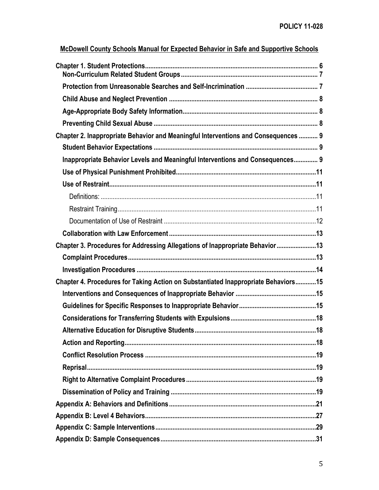| McDowell County Schools Manual for Expected Behavior in Safe and Supportive Schools |
|-------------------------------------------------------------------------------------|
|                                                                                     |
|                                                                                     |
|                                                                                     |
|                                                                                     |
|                                                                                     |
| Chapter 2. Inappropriate Behavior and Meaningful Interventions and Consequences  9  |
|                                                                                     |
| Inappropriate Behavior Levels and Meaningful Interventions and Consequences 9       |
|                                                                                     |
|                                                                                     |
|                                                                                     |
|                                                                                     |
|                                                                                     |
|                                                                                     |
| Chapter 3. Procedures for Addressing Allegations of Inappropriate Behavior13        |
|                                                                                     |
|                                                                                     |
| Chapter 4. Procedures for Taking Action on Substantiated Inappropriate Behaviors15  |
|                                                                                     |
|                                                                                     |
|                                                                                     |
|                                                                                     |
|                                                                                     |
|                                                                                     |
|                                                                                     |
|                                                                                     |
|                                                                                     |
|                                                                                     |
|                                                                                     |
|                                                                                     |
|                                                                                     |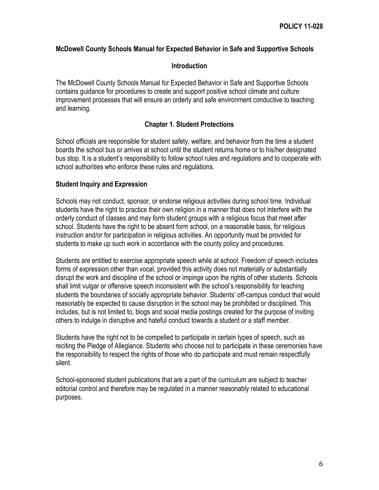#### **McDowell County Schools Manual for Expected Behavior in Safe and Supportive Schools**

#### **Introduction**

The McDowell County Schools Manual for Expected Behavior in Safe and Supportive Schools contains guidance for procedures to create and support positive school climate and culture improvement processes that will ensure an orderly and safe environment conductive to teaching and learning.

#### **Chapter 1. Student Protections**

<span id="page-5-0"></span>School officials are responsible for student safety, welfare, and behavior from the time a student boards the school bus or arrives at school until the student returns home or to his/her designated bus stop. It is a student's responsibility to follow school rules and regulations and to cooperate with school authorities who enforce these rules and regulations.

#### **Student Inquiry and Expression**

Schools may not conduct, sponsor, or endorse religious activities during school time. Individual students have the right to practice their own religion in a manner that does not interfere with the orderly conduct of classes and may form student groups with a religious focus that meet after school. Students have the right to be absent form school, on a reasonable basis, for religious instruction and/or for participation in religious activities. An opportunity must be provided for students to make up such work in accordance with the county policy and procedures.

Students are entitled to exercise appropriate speech while at school. Freedom of speech includes forms of expression other than vocal, provided this activity does not materially or substantially disrupt the work and discipline of the school or impinge upon the rights of other students. Schools shall limit vulgar or offensive speech inconsistent with the school's responsibility for teaching students the boundaries of socially appropriate behavior. Students' off-campus conduct that would reasonably be expected to cause disruption in the school may be prohibited or disciplined. This includes, but is not limited to, blogs and social media postings created for the purpose of inviting others to indulge in disruptive and hateful conduct towards a student or a staff member.

Students have the right not to be compelled to participate in certain types of speech, such as reciting the Pledge of Allegiance. Students who choose not to participate in these ceremonies have the responsibility to respect the rights of those who do participate and must remain respectfully silent.

School-sponsored student publications that are a part of the curriculum are subject to teacher editorial control and therefore may be regulated in a manner reasonably related to educational purposes.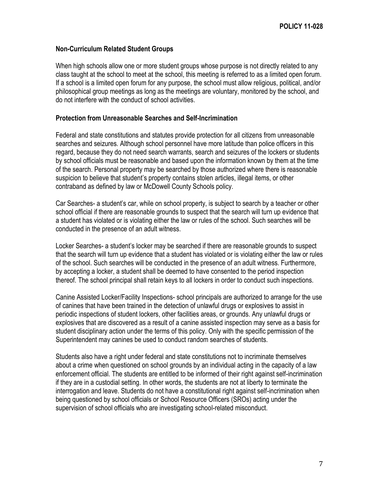#### <span id="page-6-0"></span>**Non-Curriculum Related Student Groups**

When high schools allow one or more student groups whose purpose is not directly related to any class taught at the school to meet at the school, this meeting is referred to as a limited open forum. If a school is a limited open forum for any purpose, the school must allow religious, political, and/or philosophical group meetings as long as the meetings are voluntary, monitored by the school, and do not interfere with the conduct of school activities.

#### <span id="page-6-1"></span>**Protection from Unreasonable Searches and Self-Incrimination**

Federal and state constitutions and statutes provide protection for all citizens from unreasonable searches and seizures. Although school personnel have more latitude than police officers in this regard, because they do not need search warrants, search and seizures of the lockers or students by school officials must be reasonable and based upon the information known by them at the time of the search. Personal property may be searched by those authorized where there is reasonable suspicion to believe that student's property contains stolen articles, illegal items, or other contraband as defined by law or McDowell County Schools policy.

Car Searches- a student's car, while on school property, is subject to search by a teacher or other school official if there are reasonable grounds to suspect that the search will turn up evidence that a student has violated or is violating either the law or rules of the school. Such searches will be conducted in the presence of an adult witness.

Locker Searches- a student's locker may be searched if there are reasonable grounds to suspect that the search will turn up evidence that a student has violated or is violating either the law or rules of the school. Such searches will be conducted in the presence of an adult witness. Furthermore, by accepting a locker, a student shall be deemed to have consented to the period inspection thereof. The school principal shall retain keys to all lockers in order to conduct such inspections.

Canine Assisted Locker/Facility Inspections- school principals are authorized to arrange for the use of canines that have been trained in the detection of unlawful drugs or explosives to assist in periodic inspections of student lockers, other facilities areas, or grounds. Any unlawful drugs or explosives that are discovered as a result of a canine assisted inspection may serve as a basis for student disciplinary action under the terms of this policy. Only with the specific permission of the Superintendent may canines be used to conduct random searches of students.

Students also have a right under federal and state constitutions not to incriminate themselves about a crime when questioned on school grounds by an individual acting in the capacity of a law enforcement official. The students are entitled to be informed of their right against self-incrimination if they are in a custodial setting. In other words, the students are not at liberty to terminate the interrogation and leave. Students do not have a constitutional right against self-incrimination when being questioned by school officials or School Resource Officers (SROs) acting under the supervision of school officials who are investigating school-related misconduct.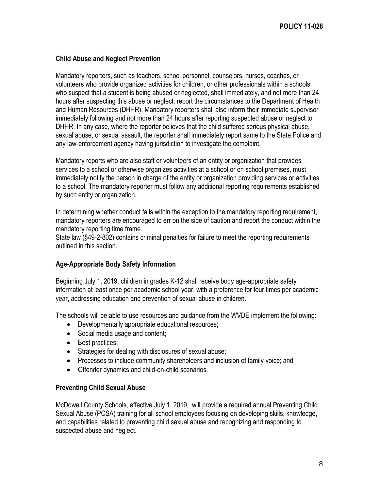#### <span id="page-7-0"></span>**Child Abuse and Neglect Prevention**

Mandatory reporters, such as teachers, school personnel, counselors, nurses, coaches, or volunteers who provide organized activities for children, or other professionals within a schools who suspect that a student is being abused or neglected, shall immediately, and not more than 24 hours after suspecting this abuse or neglect, report the circumstances to the Department of Health and Human Resources (DHHR). Mandatory reporters shall also inform their immediate supervisor immediately following and not more than 24 hours after reporting suspected abuse or neglect to DHHR. In any case, where the reporter believes that the child suffered serious physical abuse, sexual abuse, or sexual assault, the reporter shall immediately report same to the State Police and any law-enforcement agency having jurisdiction to investigate the complaint.

Mandatory reports who are also staff or volunteers of an entity or organization that provides services to a school or otherwise organizes activities at a school or on school premises, must immediately notify the person in charge of the entity or organization providing services or activities to a school. The mandatory reporter must follow any additional reporting requirements established by such entity or organization.

In determining whether conduct falls within the exception to the mandatory reporting requirement, mandatory reporters are encouraged to err on the side of caution and report the conduct within the mandatory reporting time frame.

State law (§49-2-802) contains criminal penalties for failure to meet the reporting requirements outlined in this section.

#### <span id="page-7-1"></span>**Age-Appropriate Body Safety Information**

Beginning July 1, 2019, children in grades K-12 shall receive body age-appropriate safety information at least once per academic school year, with a preference for four times per academic year, addressing education and prevention of sexual abuse in children.

The schools will be able to use resources and guidance from the WVDE implement the following:

- Developmentally appropriate educational resources;
- Social media usage and content;
- Best practices;
- Strategies for dealing with disclosures of sexual abuse;
- Processes to include community shareholders and inclusion of family voice; and
- Offender dynamics and child-on-child scenarios.

#### <span id="page-7-2"></span>**Preventing Child Sexual Abuse**

McDowell County Schools, effective July 1, 2019, will provide a required annual Preventing Child Sexual Abuse (PCSA) training for all school employees focusing on developing skills, knowledge, and capabilities related to preventing child sexual abuse and recognizing and responding to suspected abuse and neglect.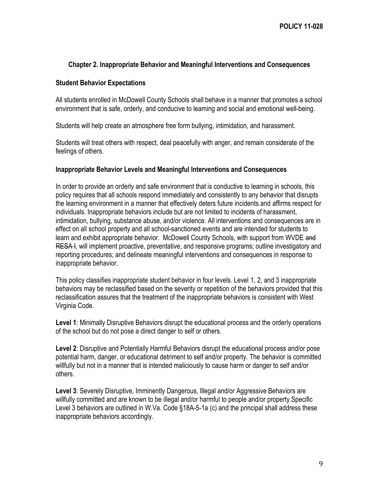#### <span id="page-8-0"></span>**Chapter 2. Inappropriate Behavior and Meaningful Interventions and Consequences**

#### <span id="page-8-1"></span>**Student Behavior Expectations**

All students enrolled in McDowell County Schools shall behave in a manner that promotes a school environment that is safe, orderly, and conducive to learning and social and emotional well-being.

Students will help create an atmosphere free form bullying, intimidation, and harassment.

Students will treat others with respect, deal peacefully with anger, and remain considerate of the feelings of others.

#### <span id="page-8-2"></span>**Inappropriate Behavior Levels and Meaningful Interventions and Consequences**

In order to provide an orderly and safe environment that is conductive to learning in schools, this policy requires that all schools respond immediately and consistently to any behavior that disrupts the learning environment in a manner that effectively deters future incidents and affirms respect for individuals. Inappropriate behaviors include but are not limited to incidents of harassment, intimidation, bullying, substance abuse, and/or violence. All interventions and consequences are in effect on all school property and all school-sanctioned events and are intended for students to learn and exhibit appropriate behavior. McDowell County Schools, with support from WVDE and RESA I, will implement proactive, preventative, and responsive programs; outline investigatory and reporting procedures; and delineate meaningful interventions and consequences in response to inappropriate behavior.

This policy classifies inappropriate student behavior in four levels. Level 1, 2, and 3 inappropriate behaviors may be reclassified based on the severity or repetition of the behaviors provided that this reclassification assures that the treatment of the inappropriate behaviors is consistent with West Virginia Code.

**Level 1**: Minimally Disruptive Behaviors disrupt the educational process and the orderly operations of the school but do not pose a direct danger to self or others.

**Level 2**: Disruptive and Potentially Harmful Behaviors disrupt the educational process and/or pose potential harm, danger, or educational detriment to self and/or property. The behavior is committed willfully but not in a manner that is intended maliciously to cause harm or danger to self and/or others.

**Level 3**: Severely Disruptive, Imminently Dangerous, Illegal and/or Aggressive Behaviors are willfully committed and are known to be illegal and/or harmful to people and/or property.Specific Level 3 behaviors are outlined in W.Va. Code §18A-5-1a (c) and the principal shall address these inappropriate behaviors accordingly.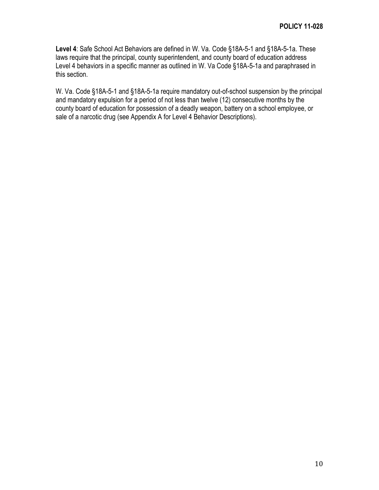**Level 4**: Safe School Act Behaviors are defined in W. Va. Code §18A-5-1 and §18A-5-1a. These laws require that the principal, county superintendent, and county board of education address Level 4 behaviors in a specific manner as outlined in W. Va Code §18A-5-1a and paraphrased in this section.

W. Va. Code §18A-5-1 and §18A-5-1a require mandatory out-of-school suspension by the principal and mandatory expulsion for a period of not less than twelve (12) consecutive months by the county board of education for possession of a deadly weapon, battery on a school employee, or sale of a narcotic drug (see Appendix A for Level 4 Behavior Descriptions).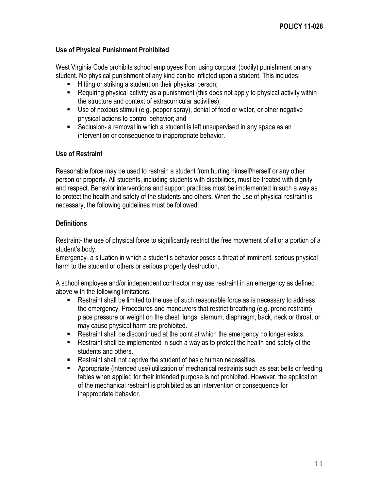### <span id="page-10-0"></span>**Use of Physical Punishment Prohibited**

West Virginia Code prohibits school employees from using corporal (bodily) punishment on any student. No physical punishment of any kind can be inflicted upon a student. This includes:

- Hitting or striking a student on their physical person;
- Requiring physical activity as a punishment (this does not apply to physical activity within the structure and context of extracurricular activities);
- Use of noxious stimuli (e.g. pepper spray), denial of food or water, or other negative physical actions to control behavior; and
- Seclusion- a removal in which a student is left unsupervised in any space as an intervention or consequence to inappropriate behavior.

#### <span id="page-10-1"></span>**Use of Restraint**

Reasonable force may be used to restrain a student from hurting himself/herself or any other person or property. All students, including students with disabilities, must be treated with dignity and respect. Behavior interventions and support practices must be implemented in such a way as to protect the health and safety of the students and others. When the use of physical restraint is necessary, the following guidelines must be followed:

#### <span id="page-10-2"></span>**Definitions**

Restraint- the use of physical force to significantly restrict the free movement of all or a portion of a student's body.

Emergency- a situation in which a student's behavior poses a threat of imminent, serious physical harm to the student or others or serious property destruction.

A school employee and/or independent contractor may use restraint in an emergency as defined above with the following limitations:

- Restraint shall be limited to the use of such reasonable force as is necessary to address the emergency. Procedures and maneuvers that restrict breathing (e.g. prone restraint), place pressure or weight on the chest, lungs, sternum, diaphragm, back, neck or throat, or may cause physical harm are prohibited.
- Restraint shall be discontinued at the point at which the emergency no longer exists.
- Restraint shall be implemented in such a way as to protect the health and safety of the students and others.
- Restraint shall not deprive the student of basic human necessities.
- <span id="page-10-3"></span> Appropriate (intended use) utilization of mechanical restraints such as seat belts or feeding tables when applied for their intended purpose is not prohibited. However, the application of the mechanical restraint is prohibited as an intervention or consequence for inappropriate behavior.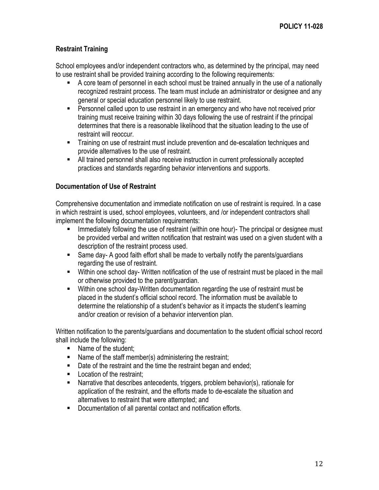# **Restraint Training**

School employees and/or independent contractors who, as determined by the principal, may need to use restraint shall be provided training according to the following requirements:

- A core team of personnel in each school must be trained annually in the use of a nationally recognized restraint process. The team must include an administrator or designee and any general or special education personnel likely to use restraint.
- **Personnel called upon to use restraint in an emergency and who have not received prior** training must receive training within 30 days following the use of restraint if the principal determines that there is a reasonable likelihood that the situation leading to the use of restraint will reoccur.
- **Training on use of restraint must include prevention and de-escalation techniques and** provide alternatives to the use of restraint.
- All trained personnel shall also receive instruction in current professionally accepted practices and standards regarding behavior interventions and supports.

#### <span id="page-11-0"></span>**Documentation of Use of Restraint**

Comprehensive documentation and immediate notification on use of restraint is required. In a case in which restraint is used, school employees, volunteers, and /or independent contractors shall implement the following documentation requirements:

- Immediately following the use of restraint (within one hour)- The principal or designee must be provided verbal and written notification that restraint was used on a given student with a description of the restraint process used.
- Same day- A good faith effort shall be made to verbally notify the parents/guardians regarding the use of restraint.
- Within one school day- Written notification of the use of restraint must be placed in the mail or otherwise provided to the parent/guardian.
- Within one school day-Written documentation regarding the use of restraint must be placed in the student's official school record. The information must be available to determine the relationship of a student's behavior as it impacts the student's learning and/or creation or revision of a behavior intervention plan.

Written notification to the parents/guardians and documentation to the student official school record shall include the following:

- Name of the student;
- Name of the staff member(s) administering the restraint;
- Date of the restraint and the time the restraint began and ended;
- **Location of the restraint:**
- Narrative that describes antecedents, triggers, problem behavior(s), rationale for application of the restraint, and the efforts made to de-escalate the situation and alternatives to restraint that were attempted; and
- **Documentation of all parental contact and notification efforts.**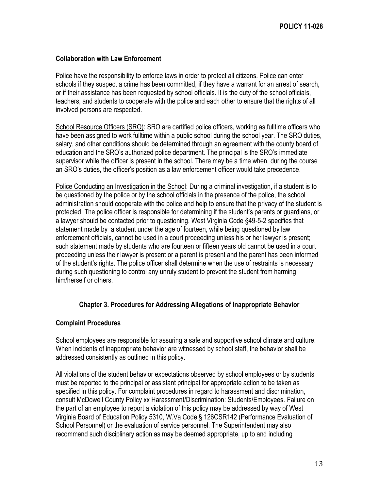#### <span id="page-12-0"></span>**Collaboration with Law Enforcement**

Police have the responsibility to enforce laws in order to protect all citizens. Police can enter schools if they suspect a crime has been committed, if they have a warrant for an arrest of search, or if their assistance has been requested by school officials. It is the duty of the school officials, teachers, and students to cooperate with the police and each other to ensure that the rights of all involved persons are respected.

School Resource Officers (SRO): SRO are certified police officers, working as fulltime officers who have been assigned to work fulltime within a public school during the school year. The SRO duties, salary, and other conditions should be determined through an agreement with the county board of education and the SRO's authorized police department. The principal is the SRO's immediate supervisor while the officer is present in the school. There may be a time when, during the course an SRO's duties, the officer's position as a law enforcement officer would take precedence.

Police Conducting an Investigation in the School: During a criminal investigation, if a student is to be questioned by the police or by the school officials in the presence of the police, the school administration should cooperate with the police and help to ensure that the privacy of the student is protected. The police officer is responsible for determining if the student's parents or guardians, or a lawyer should be contacted prior to questioning. West Virginia Code §49-5-2 specifies that statement made by a student under the age of fourteen, while being questioned by law enforcement officials, cannot be used in a court proceeding unless his or her lawyer is present; such statement made by students who are fourteen or fifteen years old cannot be used in a court proceeding unless their lawyer is present or a parent is present and the parent has been informed of the student's rights. The police officer shall determine when the use of restraints is necessary during such questioning to control any unruly student to prevent the student from harming him/herself or others.

#### <span id="page-12-1"></span>**Chapter 3. Procedures for Addressing Allegations of Inappropriate Behavior**

#### <span id="page-12-2"></span>**Complaint Procedures**

School employees are responsible for assuring a safe and supportive school climate and culture. When incidents of inappropriate behavior are witnessed by school staff, the behavior shall be addressed consistently as outlined in this policy.

All violations of the student behavior expectations observed by school employees or by students must be reported to the principal or assistant principal for appropriate action to be taken as specified in this policy. For complaint procedures in regard to harassment and discrimination, consult McDowell County Policy xx Harassment/Discrimination: Students/Employees. Failure on the part of an employee to report a violation of this policy may be addressed by way of West Virginia Board of Education Policy 5310, W.Va Code § 126CSR142 (Performance Evaluation of School Personnel) or the evaluation of service personnel. The Superintendent may also recommend such disciplinary action as may be deemed appropriate, up to and including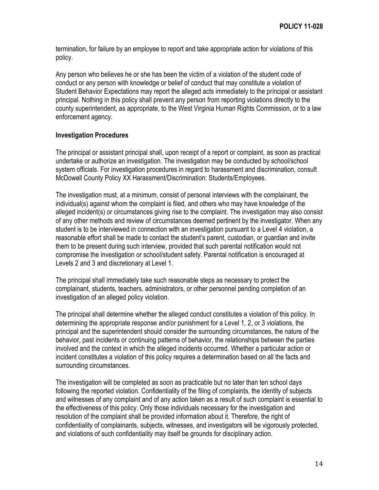termination, for failure by an employee to report and take appropriate action for violations of this policy.

Any person who believes he or she has been the victim of a violation of the student code of conduct or any person with knowledge or belief of conduct that may constitute a violation of Student Behavior Expectations may report the alleged acts immediately to the principal or assistant principal. Nothing in this policy shall prevent any person from reporting violations directly to the county superintendent, as appropriate, to the West Virginia Human Rights Commission, or to a law enforcement agency.

#### <span id="page-13-0"></span>**Investigation Procedures**

The principal or assistant principal shall, upon receipt of a report or complaint, as soon as practical undertake or authorize an investigation. The investigation may be conducted by school/school system officials. For investigation procedures in regard to harassment and discrimination, consult McDowell County Policy XX Harassment/Discrimination: Students/Employees.

The investigation must, at a minimum, consist of personal interviews with the complainant, the individual(s) against whom the complaint is filed, and others who may have knowledge of the alleged incident(s) or circumstances giving rise to the complaint. The investigation may also consist of any other methods and review of circumstances deemed pertinent by the investigator. When any student is to be interviewed in connection with an investigation pursuant to a Level 4 violation, a reasonable effort shall be made to contact the student's parent, custodian, or guardian and invite them to be present during such interview, provided that such parental notification would not compromise the investigation or school/student safety. Parental notification is encouraged at Levels 2 and 3 and discretionary at Level 1.

The principal shall immediately take such reasonable steps as necessary to protect the complainant, students, teachers, administrators, or other personnel pending completion of an investigation of an alleged policy violation.

The principal shall determine whether the alleged conduct constitutes a violation of this policy. In determining the appropriate response and/or punishment for a Level 1, 2, or 3 violations, the principal and the superintendent should consider the surrounding circumstances, the nature of the behavior, past incidents or continuing patterns of behavior, the relationships between the parties involved and the context in which the alleged incidents occurred. Whether a particular action or incident constitutes a violation of this policy requires a determination based on all the facts and surrounding circumstances.

The investigation will be completed as soon as practicable but no later than ten school days following the reported violation. Confidentiality of the filing of complaints, the identity of subjects and witnesses of any complaint and of any action taken as a result of such complaint is essential to the effectiveness of this policy. Only those individuals necessary for the investigation and resolution of the complaint shall be provided information about it. Therefore, the right of confidentiality of complainants, subjects, witnesses, and investigators will be vigorously protected, and violations of such confidentiality may itself be grounds for disciplinary action.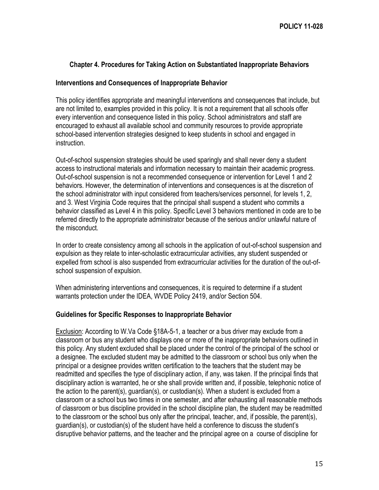#### <span id="page-14-0"></span>**Chapter 4. Procedures for Taking Action on Substantiated Inappropriate Behaviors**

#### <span id="page-14-1"></span>**Interventions and Consequences of Inappropriate Behavior**

This policy identifies appropriate and meaningful interventions and consequences that include, but are not limited to, examples provided in this policy. It is not a requirement that all schools offer every intervention and consequence listed in this policy. School administrators and staff are encouraged to exhaust all available school and community resources to provide appropriate school-based intervention strategies designed to keep students in school and engaged in instruction.

Out-of-school suspension strategies should be used sparingly and shall never deny a student access to instructional materials and information necessary to maintain their academic progress. Out-of-school suspension is not a recommended consequence or intervention for Level 1 and 2 behaviors. However, the determination of interventions and consequences is at the discretion of the school administrator with input considered from teachers/services personnel, for levels 1, 2, and 3. West Virginia Code requires that the principal shall suspend a student who commits a behavior classified as Level 4 in this policy. Specific Level 3 behaviors mentioned in code are to be referred directly to the appropriate administrator because of the serious and/or unlawful nature of the misconduct.

In order to create consistency among all schools in the application of out-of-school suspension and expulsion as they relate to inter-scholastic extracurricular activities, any student suspended or expelled from school is also suspended from extracurricular activities for the duration of the out-ofschool suspension of expulsion.

When administering interventions and consequences, it is required to determine if a student warrants protection under the IDEA, WVDE Policy 2419, and/or Section 504.

#### <span id="page-14-2"></span>**Guidelines for Specific Responses to Inappropriate Behavior**

Exclusion: According to W.Va Code §18A-5-1, a teacher or a bus driver may exclude from a classroom or bus any student who displays one or more of the inappropriate behaviors outlined in this policy. Any student excluded shall be placed under the control of the principal of the school or a designee. The excluded student may be admitted to the classroom or school bus only when the principal or a designee provides written certification to the teachers that the student may be readmitted and specifies the type of disciplinary action, if any, was taken. If the principal finds that disciplinary action is warranted, he or she shall provide written and, if possible, telephonic notice of the action to the parent(s), guardian(s), or custodian(s). When a student is excluded from a classroom or a school bus two times in one semester, and after exhausting all reasonable methods of classroom or bus discipline provided in the school discipline plan, the student may be readmitted to the classroom or the school bus only after the principal, teacher, and, if possible, the parent(s), guardian(s), or custodian(s) of the student have held a conference to discuss the student's disruptive behavior patterns, and the teacher and the principal agree on a course of discipline for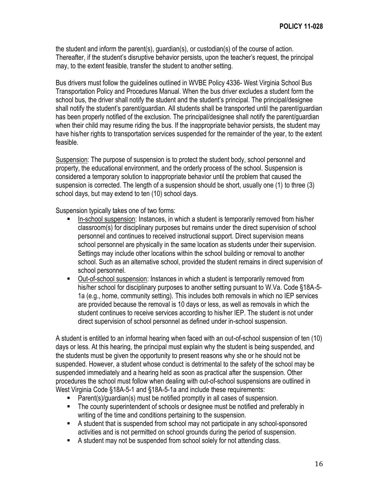the student and inform the parent(s), guardian(s), or custodian(s) of the course of action. Thereafter, if the student's disruptive behavior persists, upon the teacher's request, the principal may, to the extent feasible, transfer the student to another setting.

Bus drivers must follow the guidelines outlined in WVBE Policy 4336- West Virginia School Bus Transportation Policy and Procedures Manual. When the bus driver excludes a student form the school bus, the driver shall notify the student and the student's principal. The principal/designee shall notify the student's parent/guardian. All students shall be transported until the parent/guardian has been properly notified of the exclusion. The principal/designee shall notify the parent/guardian when their child may resume riding the bus. If the inappropriate behavior persists, the student may have his/her rights to transportation services suspended for the remainder of the year, to the extent feasible.

Suspension: The purpose of suspension is to protect the student body, school personnel and property, the educational environment, and the orderly process of the school. Suspension is considered a temporary solution to inappropriate behavior until the problem that caused the suspension is corrected. The length of a suspension should be short, usually one (1) to three (3) school days, but may extend to ten (10) school days.

Suspension typically takes one of two forms:

- In-school suspension: Instances, in which a student is temporarily removed from his/her classroom(s) for disciplinary purposes but remains under the direct supervision of school personnel and continues to received instructional support. Direct supervision means school personnel are physically in the same location as students under their supervision. Settings may include other locations within the school building or removal to another school. Such as an alternative school, provided the student remains in direct supervision of school personnel.
- Out-of-school suspension: Instances in which a student is temporarily removed from his/her school for disciplinary purposes to another setting pursuant to W.Va. Code §18A-5- 1a (e.g., home, community setting). This includes both removals in which no IEP services are provided because the removal is 10 days or less, as well as removals in which the student continues to receive services according to his/her IEP. The student is not under direct supervision of school personnel as defined under in-school suspension.

A student is entitled to an informal hearing when faced with an out-of-school suspension of ten (10) days or less. At this hearing, the principal must explain why the student is being suspended, and the students must be given the opportunity to present reasons why she or he should not be suspended. However, a student whose conduct is detrimental to the safety of the school may be suspended immediately and a hearing held as soon as practical after the suspension. Other procedures the school must follow when dealing with out-of-school suspensions are outlined in West Virginia Code §18A-5-1 and §18A-5-1a and include these requirements:

- Parent(s)/guardian(s) must be notified promptly in all cases of suspension.
- The county superintendent of schools or designee must be notified and preferably in writing of the time and conditions pertaining to the suspension.
- A student that is suspended from school may not participate in any school-sponsored activities and is not permitted on school grounds during the period of suspension.
- A student may not be suspended from school solely for not attending class.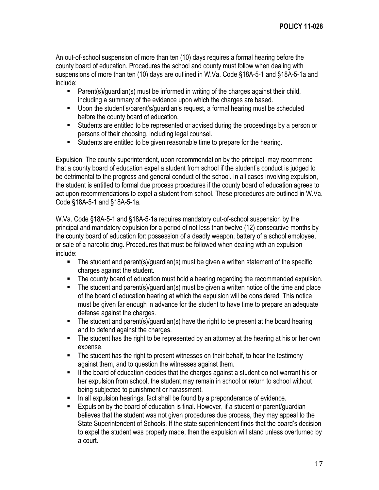An out-of-school suspension of more than ten (10) days requires a formal hearing before the county board of education. Procedures the school and county must follow when dealing with suspensions of more than ten (10) days are outlined in W.Va. Code §18A-5-1 and §18A-5-1a and include:

- **Parent(s)/quardian(s) must be informed in writing of the charges against their child,** including a summary of the evidence upon which the charges are based.
- Upon the student's/parent's/guardian's request, a formal hearing must be scheduled before the county board of education.
- Students are entitled to be represented or advised during the proceedings by a person or persons of their choosing, including legal counsel.
- Students are entitled to be given reasonable time to prepare for the hearing.

Expulsion: The county superintendent, upon recommendation by the principal, may recommend that a county board of education expel a student from school if the student's conduct is judged to be detrimental to the progress and general conduct of the school. In all cases involving expulsion, the student is entitled to formal due process procedures if the county board of education agrees to act upon recommendations to expel a student from school. These procedures are outlined in W.Va. Code §18A-5-1 and §18A-5-1a.

W.Va. Code §18A-5-1 and §18A-5-1a requires mandatory out-of-school suspension by the principal and mandatory expulsion for a period of not less than twelve (12) consecutive months by the county board of education for: possession of a deadly weapon, battery of a school employee, or sale of a narcotic drug. Procedures that must be followed when dealing with an expulsion include:

- The student and parent(s)/guardian(s) must be given a written statement of the specific charges against the student.
- The county board of education must hold a hearing regarding the recommended expulsion.
- The student and parent(s)/guardian(s) must be given a written notice of the time and place of the board of education hearing at which the expulsion will be considered. This notice must be given far enough in advance for the student to have time to prepare an adequate defense against the charges.
- The student and parent(s)/guardian(s) have the right to be present at the board hearing and to defend against the charges.
- **The student has the right to be represented by an attorney at the hearing at his or her own** expense.
- **The student has the right to present witnesses on their behalf, to hear the testimony** against them, and to question the witnesses against them.
- If the board of education decides that the charges against a student do not warrant his or her expulsion from school, the student may remain in school or return to school without being subjected to punishment or harassment.
- In all expulsion hearings, fact shall be found by a preponderance of evidence.
- **Expulsion by the board of education is final. However, if a student or parent/quardian** believes that the student was not given procedures due process, they may appeal to the State Superintendent of Schools. If the state superintendent finds that the board's decision to expel the student was properly made, then the expulsion will stand unless overturned by a court.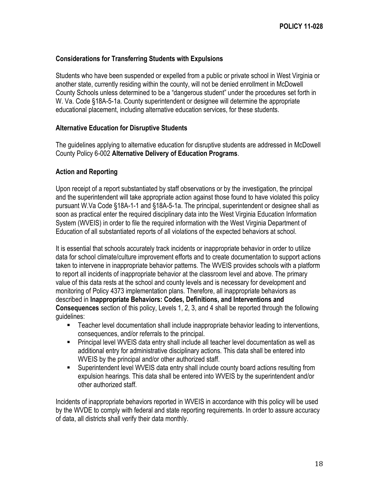#### <span id="page-17-0"></span>**Considerations for Transferring Students with Expulsions**

Students who have been suspended or expelled from a public or private school in West Virginia or another state, currently residing within the county, will not be denied enrollment in McDowell County Schools unless determined to be a "dangerous student" under the procedures set forth in W. Va. Code §18A-5-1a. County superintendent or designee will determine the appropriate educational placement, including alternative education services, for these students.

#### <span id="page-17-1"></span>**Alternative Education for Disruptive Students**

The guidelines applying to alternative education for disruptive students are addressed in McDowell County Policy 6-002 **Alternative Delivery of Education Programs**.

#### <span id="page-17-2"></span>**Action and Reporting**

Upon receipt of a report substantiated by staff observations or by the investigation, the principal and the superintendent will take appropriate action against those found to have violated this policy pursuant W.Va Code §18A-1-1 and §18A-5-1a. The principal, superintendent or designee shall as soon as practical enter the required disciplinary data into the West Virginia Education Information System (WVEIS) in order to file the required information with the West Virginia Department of Education of all substantiated reports of all violations of the expected behaviors at school.

It is essential that schools accurately track incidents or inappropriate behavior in order to utilize data for school climate/culture improvement efforts and to create documentation to support actions taken to intervene in inappropriate behavior patterns. The WVEIS provides schools with a platform to report all incidents of inappropriate behavior at the classroom level and above. The primary value of this data rests at the school and county levels and is necessary for development and monitoring of Policy 4373 implementation plans. Therefore, all inappropriate behaviors as described in **Inappropriate Behaviors: Codes, Definitions, and Interventions and Consequences** section of this policy, Levels 1, 2, 3, and 4 shall be reported through the following guidelines:

- Teacher level documentation shall include inappropriate behavior leading to interventions, consequences, and/or referrals to the principal.
- Principal level WVEIS data entry shall include all teacher level documentation as well as additional entry for administrative disciplinary actions. This data shall be entered into WVEIS by the principal and/or other authorized staff.
- Superintendent level WVEIS data entry shall include county board actions resulting from expulsion hearings. This data shall be entered into WVEIS by the superintendent and/or other authorized staff.

Incidents of inappropriate behaviors reported in WVEIS in accordance with this policy will be used by the WVDE to comply with federal and state reporting requirements. In order to assure accuracy of data, all districts shall verify their data monthly.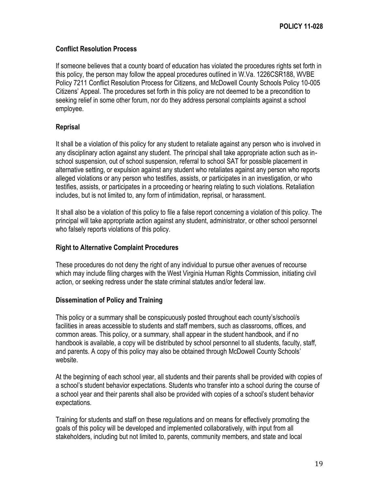## <span id="page-18-0"></span>**Conflict Resolution Process**

If someone believes that a county board of education has violated the procedures rights set forth in this policy, the person may follow the appeal procedures outlined in W.Va. 1226CSR188, WVBE Policy 7211 Conflict Resolution Process for Citizens, and McDowell County Schools Policy 10-005 Citizens' Appeal. The procedures set forth in this policy are not deemed to be a precondition to seeking relief in some other forum, nor do they address personal complaints against a school employee.

# <span id="page-18-1"></span>**Reprisal**

It shall be a violation of this policy for any student to retaliate against any person who is involved in any disciplinary action against any student. The principal shall take appropriate action such as inschool suspension, out of school suspension, referral to school SAT for possible placement in alternative setting, or expulsion against any student who retaliates against any person who reports alleged violations or any person who testifies, assists, or participates in an investigation, or who testifies, assists, or participates in a proceeding or hearing relating to such violations. Retaliation includes, but is not limited to, any form of intimidation, reprisal, or harassment.

It shall also be a violation of this policy to file a false report concerning a violation of this policy. The principal will take appropriate action against any student, administrator, or other school personnel who falsely reports violations of this policy.

## <span id="page-18-2"></span>**Right to Alternative Complaint Procedures**

These procedures do not deny the right of any individual to pursue other avenues of recourse which may include filing charges with the West Virginia Human Rights Commission, initiating civil action, or seeking redress under the state criminal statutes and/or federal law.

#### <span id="page-18-3"></span>**Dissemination of Policy and Training**

This policy or a summary shall be conspicuously posted throughout each county's/school/s facilities in areas accessible to students and staff members, such as classrooms, offices, and common areas. This policy, or a summary, shall appear in the student handbook, and if no handbook is available, a copy will be distributed by school personnel to all students, faculty, staff, and parents. A copy of this policy may also be obtained through McDowell County Schools' website.

At the beginning of each school year, all students and their parents shall be provided with copies of a school's student behavior expectations. Students who transfer into a school during the course of a school year and their parents shall also be provided with copies of a school's student behavior expectations.

Training for students and staff on these regulations and on means for effectively promoting the goals of this policy will be developed and implemented collaboratively, with input from all stakeholders, including but not limited to, parents, community members, and state and local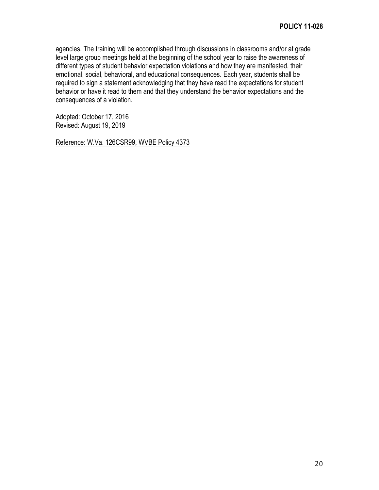agencies. The training will be accomplished through discussions in classrooms and/or at grade level large group meetings held at the beginning of the school year to raise the awareness of different types of student behavior expectation violations and how they are manifested, their emotional, social, behavioral, and educational consequences. Each year, students shall be required to sign a statement acknowledging that they have read the expectations for student behavior or have it read to them and that they understand the behavior expectations and the consequences of a violation.

Adopted: October 17, 2016 Revised: August 19, 2019

Reference: W.Va. 126CSR99, WVBE Policy 4373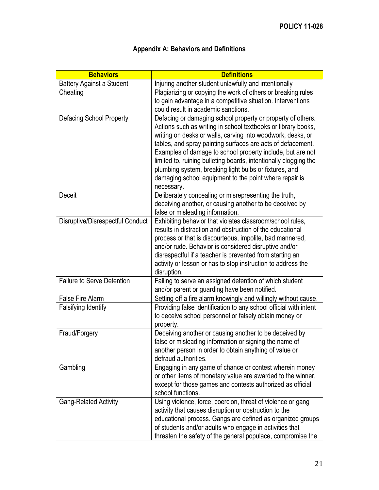<span id="page-20-0"></span>

| <b>Behaviors</b>                  | <b>Definitions</b>                                                                                                                                                                                                                                                                                                                                                                                                                                                                                                             |
|-----------------------------------|--------------------------------------------------------------------------------------------------------------------------------------------------------------------------------------------------------------------------------------------------------------------------------------------------------------------------------------------------------------------------------------------------------------------------------------------------------------------------------------------------------------------------------|
| <b>Battery Against a Student</b>  | Injuring another student unlawfully and intentionally                                                                                                                                                                                                                                                                                                                                                                                                                                                                          |
| Cheating                          | Plagiarizing or copying the work of others or breaking rules<br>to gain advantage in a competitive situation. Interventions<br>could result in academic sanctions.                                                                                                                                                                                                                                                                                                                                                             |
| <b>Defacing School Property</b>   | Defacing or damaging school property or property of others.<br>Actions such as writing in school textbooks or library books,<br>writing on desks or walls, carving into woodwork, desks, or<br>tables, and spray painting surfaces are acts of defacement.<br>Examples of damage to school property include, but are not<br>limited to, ruining bulleting boards, intentionally clogging the<br>plumbing system, breaking light bulbs or fixtures, and<br>damaging school equipment to the point where repair is<br>necessary. |
| <b>Deceit</b>                     | Deliberately concealing or misrepresenting the truth,<br>deceiving another, or causing another to be deceived by<br>false or misleading information.                                                                                                                                                                                                                                                                                                                                                                           |
| Disruptive/Disrespectful Conduct  | Exhibiting behavior that violates classroom/school rules,<br>results in distraction and obstruction of the educational<br>process or that is discourteous, impolite, bad mannered,<br>and/or rude. Behavior is considered disruptive and/or<br>disrespectful if a teacher is prevented from starting an<br>activity or lesson or has to stop instruction to address the<br>disruption.                                                                                                                                         |
| <b>Failure to Serve Detention</b> | Failing to serve an assigned detention of which student<br>and/or parent or guarding have been notified.                                                                                                                                                                                                                                                                                                                                                                                                                       |
| False Fire Alarm                  | Setting off a fire alarm knowingly and willingly without cause.                                                                                                                                                                                                                                                                                                                                                                                                                                                                |
| Falsifying Identify               | Providing false identification to any school official with intent<br>to deceive school personnel or falsely obtain money or<br>property.                                                                                                                                                                                                                                                                                                                                                                                       |
| Fraud/Forgery                     | Deceiving another or causing another to be deceived by<br>false or misleading information or signing the name of<br>another person in order to obtain anything of value or<br>defraud authorities.                                                                                                                                                                                                                                                                                                                             |
| Gambling                          | Engaging in any game of chance or contest wherein money<br>or other items of monetary value are awarded to the winner,<br>except for those games and contests authorized as official<br>school functions.                                                                                                                                                                                                                                                                                                                      |
| <b>Gang-Related Activity</b>      | Using violence, force, coercion, threat of violence or gang<br>activity that causes disruption or obstruction to the<br>educational process. Gangs are defined as organized groups<br>of students and/or adults who engage in activities that<br>threaten the safety of the general populace, compromise the                                                                                                                                                                                                                   |

# **Appendix A: Behaviors and Definitions**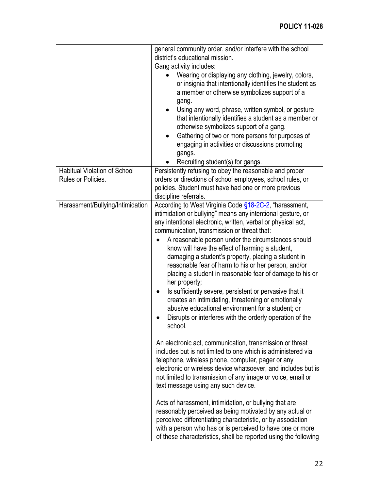|                                                           | general community order, and/or interfere with the school<br>district's educational mission.                                                                                                                                                                                                                                                                                                                                                                                                                                                                                                                                                                                                                                                                                                                                                                                                                                                                                                                                                                                                                                                                                                                                                                                                                                                                                                                                                                                      |
|-----------------------------------------------------------|-----------------------------------------------------------------------------------------------------------------------------------------------------------------------------------------------------------------------------------------------------------------------------------------------------------------------------------------------------------------------------------------------------------------------------------------------------------------------------------------------------------------------------------------------------------------------------------------------------------------------------------------------------------------------------------------------------------------------------------------------------------------------------------------------------------------------------------------------------------------------------------------------------------------------------------------------------------------------------------------------------------------------------------------------------------------------------------------------------------------------------------------------------------------------------------------------------------------------------------------------------------------------------------------------------------------------------------------------------------------------------------------------------------------------------------------------------------------------------------|
|                                                           | Gang activity includes:                                                                                                                                                                                                                                                                                                                                                                                                                                                                                                                                                                                                                                                                                                                                                                                                                                                                                                                                                                                                                                                                                                                                                                                                                                                                                                                                                                                                                                                           |
|                                                           | Wearing or displaying any clothing, jewelry, colors,<br>or insignia that intentionally identifies the student as<br>a member or otherwise symbolizes support of a<br>gang.<br>Using any word, phrase, written symbol, or gesture<br>that intentionally identifies a student as a member or<br>otherwise symbolizes support of a gang.<br>Gathering of two or more persons for purposes of<br>engaging in activities or discussions promoting<br>gangs.<br>Recruiting student(s) for gangs.                                                                                                                                                                                                                                                                                                                                                                                                                                                                                                                                                                                                                                                                                                                                                                                                                                                                                                                                                                                        |
| <b>Habitual Violation of School</b><br>Rules or Policies. | Persistently refusing to obey the reasonable and proper<br>orders or directions of school employees, school rules, or<br>policies. Student must have had one or more previous<br>discipline referrals.                                                                                                                                                                                                                                                                                                                                                                                                                                                                                                                                                                                                                                                                                                                                                                                                                                                                                                                                                                                                                                                                                                                                                                                                                                                                            |
| Harassment/Bullying/Intimidation                          | According to West Virginia Code §18-2C-2, "harassment,<br>intimidation or bullying" means any intentional gesture, or<br>any intentional electronic, written, verbal or physical act,<br>communication, transmission or threat that:<br>A reasonable person under the circumstances should<br>know will have the effect of harming a student,<br>damaging a student's property, placing a student in<br>reasonable fear of harm to his or her person, and/or<br>placing a student in reasonable fear of damage to his or<br>her property;<br>Is sufficiently severe, persistent or pervasive that it<br>$\bullet$<br>creates an intimidating, threatening or emotionally<br>abusive educational environment for a student; or<br>Disrupts or interferes with the orderly operation of the<br>school.<br>An electronic act, communication, transmission or threat<br>includes but is not limited to one which is administered via<br>telephone, wireless phone, computer, pager or any<br>electronic or wireless device whatsoever, and includes but is<br>not limited to transmission of any image or voice, email or<br>text message using any such device.<br>Acts of harassment, intimidation, or bullying that are<br>reasonably perceived as being motivated by any actual or<br>perceived differentiating characteristic, or by association<br>with a person who has or is perceived to have one or more<br>of these characteristics, shall be reported using the following |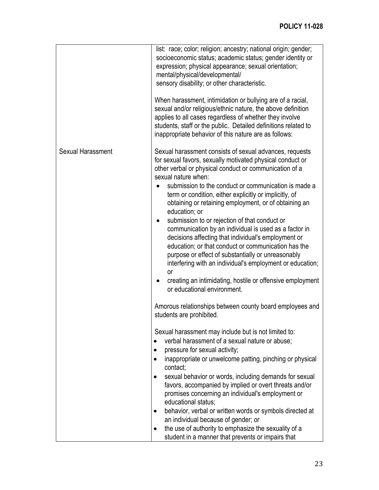|                          | list: race; color; religion; ancestry; national origin; gender;<br>socioeconomic status; academic status; gender identity or<br>expression; physical appearance; sexual orientation;<br>mental/physical/developmental/<br>sensory disability; or other characteristic.<br>When harassment, intimidation or bullying are of a racial,<br>sexual and/or religious/ethnic nature, the above definition<br>applies to all cases regardless of whether they involve<br>students, staff or the public. Detailed definitions related to<br>inappropriate behavior of this nature are as follows:                                                                                                                                                                                                                                                                                                                                                           |
|--------------------------|-----------------------------------------------------------------------------------------------------------------------------------------------------------------------------------------------------------------------------------------------------------------------------------------------------------------------------------------------------------------------------------------------------------------------------------------------------------------------------------------------------------------------------------------------------------------------------------------------------------------------------------------------------------------------------------------------------------------------------------------------------------------------------------------------------------------------------------------------------------------------------------------------------------------------------------------------------|
| <b>Sexual Harassment</b> | Sexual harassment consists of sexual advances, requests<br>for sexual favors, sexually motivated physical conduct or<br>other verbal or physical conduct or communication of a<br>sexual nature when:<br>submission to the conduct or communication is made a<br>term or condition, either explicitly or implicitly, of<br>obtaining or retaining employment, or of obtaining an<br>education; or<br>submission to or rejection of that conduct or<br>$\bullet$<br>communication by an individual is used as a factor in<br>decisions affecting that individual's employment or<br>education; or that conduct or communication has the<br>purpose or effect of substantially or unreasonably<br>interfering with an individual's employment or education;<br>or<br>creating an intimidating, hostile or offensive employment<br>or educational environment.<br>Amorous relationships between county board employees and<br>students are prohibited. |
|                          | Sexual harassment may include but is not limited to:<br>verbal harassment of a sexual nature or abuse;<br>pressure for sexual activity;<br>inappropriate or unwelcome patting, pinching or physical<br>contact;<br>sexual behavior or words, including demands for sexual<br>favors, accompanied by implied or overt threats and/or<br>promises concerning an individual's employment or<br>educational status;<br>behavior, verbal or written words or symbols directed at<br>an individual because of gender; or<br>the use of authority to emphasize the sexuality of a<br>student in a manner that prevents or impairs that                                                                                                                                                                                                                                                                                                                     |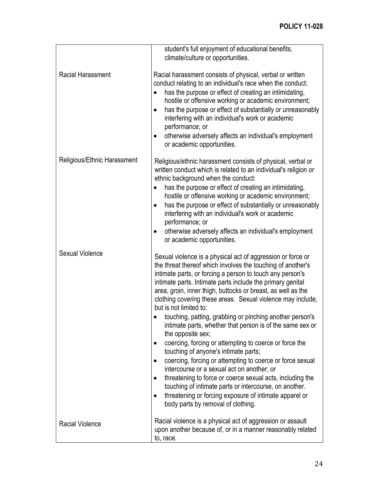|                             | student's full enjoyment of educational benefits,<br>climate/culture or opportunities.                                                                                                                                                                                                                                                                                                                                                                                                                                                                                                                                                                                                                                                                                                                                                                                                                                                                                                                        |
|-----------------------------|---------------------------------------------------------------------------------------------------------------------------------------------------------------------------------------------------------------------------------------------------------------------------------------------------------------------------------------------------------------------------------------------------------------------------------------------------------------------------------------------------------------------------------------------------------------------------------------------------------------------------------------------------------------------------------------------------------------------------------------------------------------------------------------------------------------------------------------------------------------------------------------------------------------------------------------------------------------------------------------------------------------|
| <b>Racial Harassment</b>    | Racial harassment consists of physical, verbal or written<br>conduct relating to an individual's race when the conduct:<br>has the purpose or effect of creating an intimidating,<br>$\bullet$<br>hostile or offensive working or academic environment;<br>has the purpose or effect of substantially or unreasonably<br>$\bullet$<br>interfering with an individual's work or academic<br>performance; or<br>otherwise adversely affects an individual's employment<br>$\bullet$<br>or academic opportunities.                                                                                                                                                                                                                                                                                                                                                                                                                                                                                               |
| Religious/Ethnic Harassment | Religious/ethnic harassment consists of physical, verbal or<br>written conduct which is related to an individual's religion or<br>ethnic background when the conduct:<br>has the purpose or effect of creating an intimidating,<br>$\bullet$<br>hostile or offensive working or academic environment;<br>has the purpose or effect of substantially or unreasonably<br>$\bullet$<br>interfering with an individual's work or academic<br>performance; or<br>otherwise adversely affects an individual's employment<br>٠<br>or academic opportunities.                                                                                                                                                                                                                                                                                                                                                                                                                                                         |
| Sexual Violence             | Sexual violence is a physical act of aggression or force or<br>the threat thereof which involves the touching of another's<br>intimate parts, or forcing a person to touch any person's<br>intimate parts. Intimate parts include the primary genital<br>area, groin, inner thigh, buttocks or breast, as well as the<br>clothing covering these areas. Sexual violence may include,<br>but is not limited to:<br>touching, patting, grabbing or pinching another person's<br>intimate parts, whether that person is of the same sex or<br>the opposite sex;<br>coercing, forcing or attempting to coerce or force the<br>touching of anyone's intimate parts;<br>coercing, forcing or attempting to coerce or force sexual<br>intercourse or a sexual act on another; or<br>threatening to force or coerce sexual acts, including the<br>$\bullet$<br>touching of intimate parts or intercourse, on another.<br>threatening or forcing exposure of intimate apparel or<br>body parts by removal of clothing. |
| <b>Racial Violence</b>      | Racial violence is a physical act of aggression or assault<br>upon another because of, or in a manner reasonably related<br>to, race.                                                                                                                                                                                                                                                                                                                                                                                                                                                                                                                                                                                                                                                                                                                                                                                                                                                                         |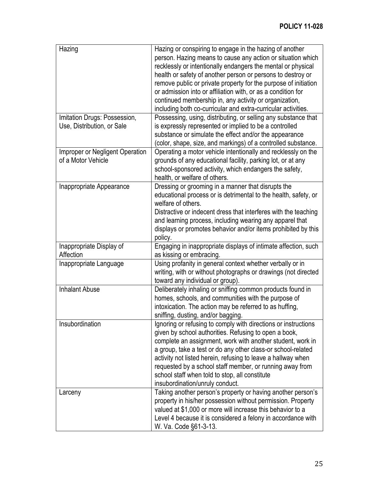| Hazing<br>Imitation Drugs: Possession,<br>Use, Distribution, or Sale | Hazing or conspiring to engage in the hazing of another<br>person. Hazing means to cause any action or situation which<br>recklessly or intentionally endangers the mental or physical<br>health or safety of another person or persons to destroy or<br>remove public or private property for the purpose of initiation<br>or admission into or affiliation with, or as a condition for<br>continued membership in, any activity or organization,<br>including both co-curricular and extra-curricular activities.<br>Possessing, using, distributing, or selling any substance that<br>is expressly represented or implied to be a controlled |
|----------------------------------------------------------------------|-------------------------------------------------------------------------------------------------------------------------------------------------------------------------------------------------------------------------------------------------------------------------------------------------------------------------------------------------------------------------------------------------------------------------------------------------------------------------------------------------------------------------------------------------------------------------------------------------------------------------------------------------|
|                                                                      | substance or simulate the effect and/or the appearance<br>(color, shape, size, and markings) of a controlled substance.                                                                                                                                                                                                                                                                                                                                                                                                                                                                                                                         |
| Improper or Negligent Operation<br>of a Motor Vehicle                | Operating a motor vehicle intentionally and recklessly on the<br>grounds of any educational facility, parking lot, or at any<br>school-sponsored activity, which endangers the safety,<br>health, or welfare of others.                                                                                                                                                                                                                                                                                                                                                                                                                         |
| Inappropriate Appearance                                             | Dressing or grooming in a manner that disrupts the<br>educational process or is detrimental to the health, safety, or<br>welfare of others.<br>Distractive or indecent dress that interferes with the teaching<br>and learning process, including wearing any apparel that<br>displays or promotes behavior and/or items prohibited by this<br>policy.                                                                                                                                                                                                                                                                                          |
| Inappropriate Display of<br>Affection                                | Engaging in inappropriate displays of intimate affection, such<br>as kissing or embracing.                                                                                                                                                                                                                                                                                                                                                                                                                                                                                                                                                      |
| Inappropriate Language                                               | Using profanity in general context whether verbally or in<br>writing, with or without photographs or drawings (not directed<br>toward any individual or group).                                                                                                                                                                                                                                                                                                                                                                                                                                                                                 |
| <b>Inhalant Abuse</b>                                                | Deliberately inhaling or sniffing common products found in<br>homes, schools, and communities with the purpose of<br>intoxication. The action may be referred to as huffing,<br>sniffing, dusting, and/or bagging.                                                                                                                                                                                                                                                                                                                                                                                                                              |
| Insubordination                                                      | Ignoring or refusing to comply with directions or instructions<br>given by school authorities. Refusing to open a book,<br>complete an assignment, work with another student, work in<br>a group, take a test or do any other class-or school-related<br>activity not listed herein, refusing to leave a hallway when<br>requested by a school staff member, or running away from<br>school staff when told to stop, all constitute<br>insubordination/unruly conduct.                                                                                                                                                                          |
| Larceny                                                              | Taking another person's property or having another person's<br>property in his/her possession without permission. Property<br>valued at \$1,000 or more will increase this behavior to a<br>Level 4 because it is considered a felony in accordance with<br>W. Va. Code §61-3-13.                                                                                                                                                                                                                                                                                                                                                               |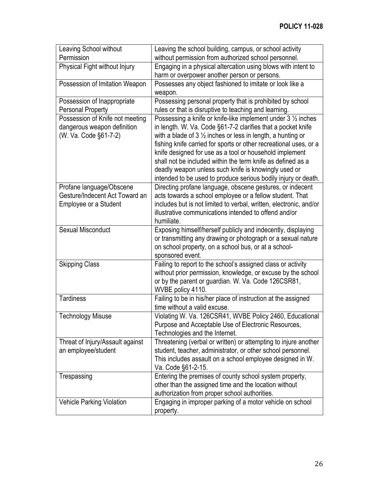| Leaving School without           | Leaving the school building, campus, or school activity                                                                      |
|----------------------------------|------------------------------------------------------------------------------------------------------------------------------|
| Permission                       | without permission from authorized school personnel.                                                                         |
| Physical Fight without Injury    | Engaging in a physical altercation using blows with intent to                                                                |
|                                  | harm or overpower another person or persons.                                                                                 |
| Possession of Imitation Weapon   | Possesses any object fashioned to imitate or look like a                                                                     |
|                                  | weapon.                                                                                                                      |
| Possession of Inappropriate      | Possessing personal property that is prohibited by school                                                                    |
| Personal Property                | rules or that is disruptive to teaching and learning.                                                                        |
| Possession of Knife not meeting  | Possessing a knife or knife-like implement under $3\frac{1}{2}$ inches                                                       |
| dangerous weapon definition      | in length. W. Va. Code §61-7-2 clarifies that a pocket knife                                                                 |
| (W. Va. Code §61-7-2)            | with a blade of $3\frac{1}{2}$ inches or less in length, a hunting or                                                        |
|                                  | fishing knife carried for sports or other recreational uses, or a                                                            |
|                                  | knife designed for use as a tool or household implement                                                                      |
|                                  | shall not be included within the term knife as defined as a                                                                  |
|                                  | deadly weapon unless such knife is knowingly used or                                                                         |
|                                  | intended to be used to produce serious bodily injury or death.                                                               |
| Profane language/Obscene         | Directing profane language, obscene gestures, or indecent                                                                    |
| Gesture/Indecent Act Toward an   | acts towards a school employee or a fellow student. That                                                                     |
| Employee or a Student            | includes but is not limited to verbal, written, electronic, and/or                                                           |
|                                  | illustrative communications intended to offend and/or                                                                        |
| Sexual Misconduct                | humiliate.                                                                                                                   |
|                                  | Exposing himself/herself publicly and indecently, displaying<br>or transmitting any drawing or photograph or a sexual nature |
|                                  | on school property, on a school bus, or at a school-                                                                         |
|                                  | sponsored event.                                                                                                             |
| <b>Skipping Class</b>            | Failing to report to the school's assigned class or activity                                                                 |
|                                  | without prior permission, knowledge, or excuse by the school                                                                 |
|                                  | or by the parent or guardian. W. Va. Code 126CSR81,                                                                          |
|                                  | WVBE policy 4110.                                                                                                            |
| <b>Tardiness</b>                 | Failing to be in his/her place of instruction at the assigned                                                                |
|                                  | time without a valid excuse.                                                                                                 |
| <b>Technology Misuse</b>         | Violating W. Va. 126CSR41, WVBE Policy 2460, Educational                                                                     |
|                                  | Purpose and Acceptable Use of Electronic Resources,                                                                          |
|                                  | Technologies and the Internet.                                                                                               |
| Threat of Injury/Assault against | Threatening (verbal or written) or attempting to injure another                                                              |
| an employee/student              | student, teacher, administrator, or other school personnel.                                                                  |
|                                  | This includes assault on a school employee designed in W.                                                                    |
|                                  | Va. Code §61-2-15.                                                                                                           |
| Trespassing                      | Entering the premises of county school system property,                                                                      |
|                                  | other than the assigned time and the location without                                                                        |
|                                  | authorization from proper school authorities.                                                                                |
| Vehicle Parking Violation        | Engaging in improper parking of a motor vehicle on school                                                                    |
|                                  | property.                                                                                                                    |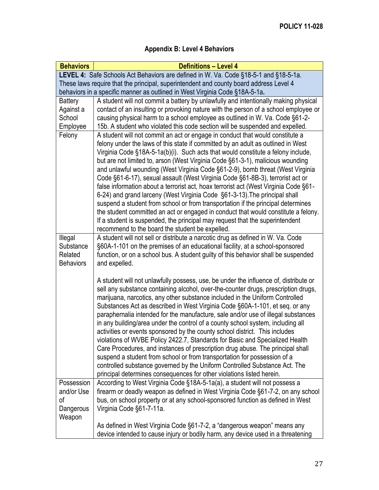# **Appendix B: Level 4 Behaviors**

<span id="page-26-0"></span>

| <b>Behaviors</b>                                      | <b>Definitions - Level 4</b>                                                                                                                                                                                                                                                                                                                                                                                                                                                                                                                                                                                                                                                                                                                                                                                                                                                                                                                                                                           |
|-------------------------------------------------------|--------------------------------------------------------------------------------------------------------------------------------------------------------------------------------------------------------------------------------------------------------------------------------------------------------------------------------------------------------------------------------------------------------------------------------------------------------------------------------------------------------------------------------------------------------------------------------------------------------------------------------------------------------------------------------------------------------------------------------------------------------------------------------------------------------------------------------------------------------------------------------------------------------------------------------------------------------------------------------------------------------|
|                                                       | LEVEL 4: Safe Schools Act Behaviors are defined in W. Va. Code §18-5-1 and §18-5-1a.                                                                                                                                                                                                                                                                                                                                                                                                                                                                                                                                                                                                                                                                                                                                                                                                                                                                                                                   |
|                                                       | These laws require that the principal, superintendent and county board address Level 4                                                                                                                                                                                                                                                                                                                                                                                                                                                                                                                                                                                                                                                                                                                                                                                                                                                                                                                 |
|                                                       | behaviors in a specific manner as outlined in West Virginia Code §18A-5-1a.                                                                                                                                                                                                                                                                                                                                                                                                                                                                                                                                                                                                                                                                                                                                                                                                                                                                                                                            |
| <b>Battery</b>                                        | A student will not commit a battery by unlawfully and intentionally making physical                                                                                                                                                                                                                                                                                                                                                                                                                                                                                                                                                                                                                                                                                                                                                                                                                                                                                                                    |
| Against a                                             | contact of an insulting or provoking nature with the person of a school employee or                                                                                                                                                                                                                                                                                                                                                                                                                                                                                                                                                                                                                                                                                                                                                                                                                                                                                                                    |
| School                                                | causing physical harm to a school employee as outlined in W. Va. Code §61-2-                                                                                                                                                                                                                                                                                                                                                                                                                                                                                                                                                                                                                                                                                                                                                                                                                                                                                                                           |
| Employee                                              | 15b. A student who violated this code section will be suspended and expelled.                                                                                                                                                                                                                                                                                                                                                                                                                                                                                                                                                                                                                                                                                                                                                                                                                                                                                                                          |
| Felony                                                | A student will not commit an act or engage in conduct that would constitute a<br>felony under the laws of this state if committed by an adult as outlined in West<br>Virginia Code §18A-5-1a(b)(i). Such acts that would constitute a felony include,<br>but are not limited to, arson (West Virginia Code §61-3-1), malicious wounding<br>and unlawful wounding (West Virginia Code §61-2-9), bomb threat (West Virginia<br>Code §61-6-17), sexual assault (West Virginia Code §61-8B-3), terrorist act or<br>false information about a terrorist act, hoax terrorist act (West Virginia Code §61-                                                                                                                                                                                                                                                                                                                                                                                                    |
|                                                       | 6-24) and grand larceny (West Virginia Code §61-3-13). The principal shall<br>suspend a student from school or from transportation if the principal determines<br>the student committed an act or engaged in conduct that would constitute a felony.<br>If a student is suspended, the principal may request that the superintendent<br>recommend to the board the student be expelled.                                                                                                                                                                                                                                                                                                                                                                                                                                                                                                                                                                                                                |
| Illegal<br>Substance<br>Related<br><b>Behaviors</b>   | A student will not sell or distribute a narcotic drug as defined in W. Va. Code<br>§60A-1-101 on the premises of an educational facility, at a school-sponsored<br>function, or on a school bus. A student guilty of this behavior shall be suspended<br>and expelled.                                                                                                                                                                                                                                                                                                                                                                                                                                                                                                                                                                                                                                                                                                                                 |
|                                                       | A student will not unlawfully possess, use, be under the influence of, distribute or<br>sell any substance containing alcohol, over-the-counter drugs, prescription drugs,<br>marijuana, narcotics, any other substance included in the Uniform Controlled<br>Substances Act as described in West Virginia Code §60A-1-101, et seq. or any<br>paraphernalia intended for the manufacture, sale and/or use of illegal substances<br>in any building/area under the control of a county school system, including all<br>activities or events sponsored by the county school district. This includes<br>violations of WVBE Policy 2422.7, Standards for Basic and Specialized Health<br>Care Procedures, and instances of prescription drug abuse. The principal shall<br>suspend a student from school or from transportation for possession of a<br>controlled substance governed by the Uniform Controlled Substance Act. The<br>principal determines consequences for other violations listed herein. |
| Possession<br>and/or Use<br>оf<br>Dangerous<br>Weapon | According to West Virginia Code §18A-5-1a(a), a student will not possess a<br>firearm or deadly weapon as defined in West Virginia Code §61-7-2, on any school<br>bus, on school property or at any school-sponsored function as defined in West<br>Virginia Code §61-7-11a.                                                                                                                                                                                                                                                                                                                                                                                                                                                                                                                                                                                                                                                                                                                           |
|                                                       | As defined in West Virginia Code §61-7-2, a "dangerous weapon" means any<br>device intended to cause injury or bodily harm, any device used in a threatening                                                                                                                                                                                                                                                                                                                                                                                                                                                                                                                                                                                                                                                                                                                                                                                                                                           |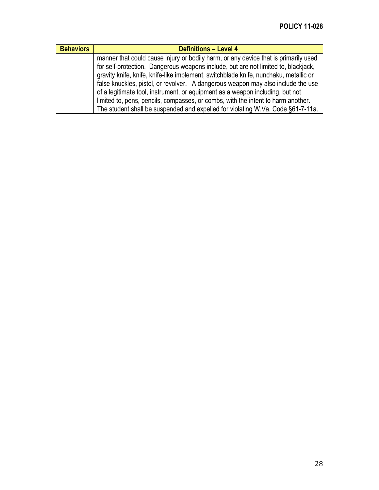| <b>Behaviors</b> | <b>Definitions - Level 4</b>                                                                                                                                                                                                                                      |
|------------------|-------------------------------------------------------------------------------------------------------------------------------------------------------------------------------------------------------------------------------------------------------------------|
|                  | manner that could cause injury or bodily harm, or any device that is primarily used<br>for self-protection. Dangerous weapons include, but are not limited to, blackjack,<br>gravity knife, knife, knife-like implement, switchblade knife, nunchaku, metallic or |
|                  | false knuckles, pistol, or revolver. A dangerous weapon may also include the use<br>of a legitimate tool, instrument, or equipment as a weapon including, but not                                                                                                 |
|                  | limited to, pens, pencils, compasses, or combs, with the intent to harm another.                                                                                                                                                                                  |
|                  | The student shall be suspended and expelled for violating W.Va. Code §61-7-11a.                                                                                                                                                                                   |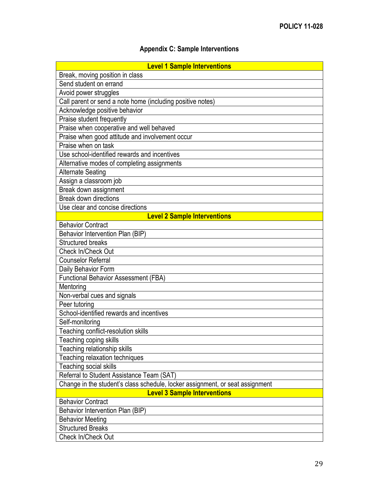# **Appendix C: Sample Interventions**

<span id="page-28-0"></span>

| <b>Level 1 Sample Interventions</b>                                           |
|-------------------------------------------------------------------------------|
| Break, moving position in class                                               |
| Send student on errand                                                        |
| Avoid power struggles                                                         |
| Call parent or send a note home (including positive notes)                    |
| Acknowledge positive behavior                                                 |
| Praise student frequently                                                     |
| Praise when cooperative and well behaved                                      |
| Praise when good attitude and involvement occur                               |
| Praise when on task                                                           |
| Use school-identified rewards and incentives                                  |
| Alternative modes of completing assignments                                   |
| <b>Alternate Seating</b>                                                      |
| Assign a classroom job                                                        |
| Break down assignment                                                         |
| <b>Break down directions</b>                                                  |
| Use clear and concise directions                                              |
| <b>Level 2 Sample Interventions</b>                                           |
| <b>Behavior Contract</b>                                                      |
| Behavior Intervention Plan (BIP)                                              |
| <b>Structured breaks</b>                                                      |
| Check In/Check Out                                                            |
| <b>Counselor Referral</b>                                                     |
| Daily Behavior Form                                                           |
| Functional Behavior Assessment (FBA)                                          |
| Mentoring                                                                     |
| Non-verbal cues and signals                                                   |
| Peer tutoring                                                                 |
| School-identified rewards and incentives                                      |
| Self-monitoring                                                               |
| Teaching conflict-resolution skills                                           |
| Teaching coping skills                                                        |
| Teaching relationship skills                                                  |
| Teaching relaxation techniques                                                |
| Teaching social skills                                                        |
| Referral to Student Assistance Team (SAT)                                     |
| Change in the student's class schedule, locker assignment, or seat assignment |
| <b>Level 3 Sample Interventions</b>                                           |
| <b>Behavior Contract</b>                                                      |
| Behavior Intervention Plan (BIP)                                              |
| <b>Behavior Meeting</b>                                                       |
| <b>Structured Breaks</b>                                                      |
| Check In/Check Out                                                            |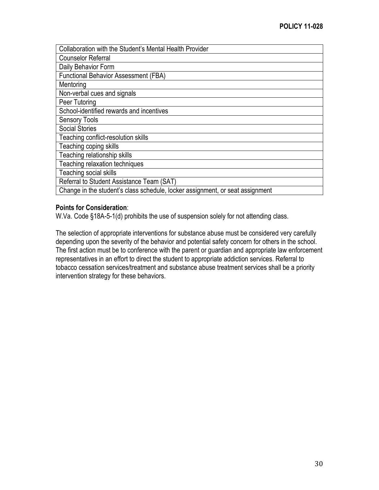| Collaboration with the Student's Mental Health Provider                       |
|-------------------------------------------------------------------------------|
| <b>Counselor Referral</b>                                                     |
| Daily Behavior Form                                                           |
| <b>Functional Behavior Assessment (FBA)</b>                                   |
| Mentoring                                                                     |
| Non-verbal cues and signals                                                   |
| Peer Tutoring                                                                 |
| School-identified rewards and incentives                                      |
| <b>Sensory Tools</b>                                                          |
| <b>Social Stories</b>                                                         |
| Teaching conflict-resolution skills                                           |
| Teaching coping skills                                                        |
| Teaching relationship skills                                                  |
| Teaching relaxation techniques                                                |
| Teaching social skills                                                        |
| Referral to Student Assistance Team (SAT)                                     |
| Change in the student's class schedule, locker assignment, or seat assignment |

#### **Points for Consideration**:

W.Va. Code §18A-5-1(d) prohibits the use of suspension solely for not attending class.

The selection of appropriate interventions for substance abuse must be considered very carefully depending upon the severity of the behavior and potential safety concern for others in the school. The first action must be to conference with the parent or guardian and appropriate law enforcement representatives in an effort to direct the student to appropriate addiction services. Referral to tobacco cessation services/treatment and substance abuse treatment services shall be a priority intervention strategy for these behaviors.